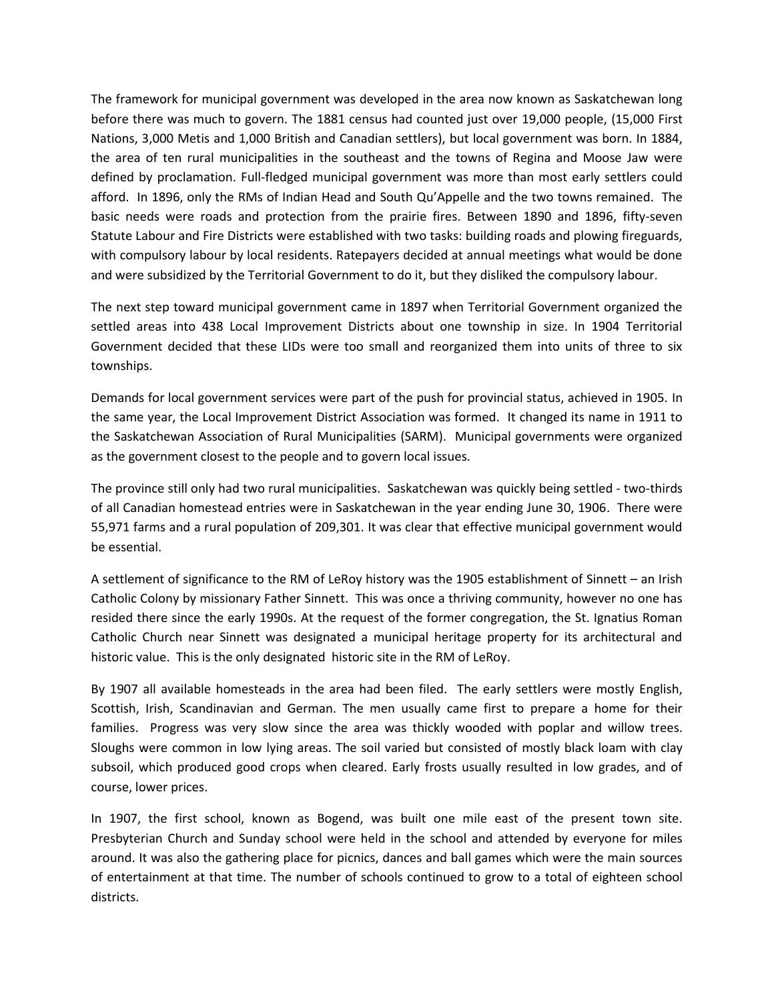The framework for municipal government was developed in the area now known as Saskatchewan long before there was much to govern. The 1881 census had counted just over 19,000 people, (15,000 First Nations, 3,000 Metis and 1,000 British and Canadian settlers), but local government was born. In 1884, the area of ten rural municipalities in the southeast and the towns of Regina and Moose Jaw were defined by proclamation. Full-fledged municipal government was more than most early settlers could afford. In 1896, only the RMs of Indian Head and South Qu'Appelle and the two towns remained. The basic needs were roads and protection from the prairie fires. Between 1890 and 1896, fifty-seven Statute Labour and Fire Districts were established with two tasks: building roads and plowing fireguards, with compulsory labour by local residents. Ratepayers decided at annual meetings what would be done and were subsidized by the Territorial Government to do it, but they disliked the compulsory labour.

The next step toward municipal government came in 1897 when Territorial Government organized the settled areas into 438 Local Improvement Districts about one township in size. In 1904 Territorial Government decided that these LIDs were too small and reorganized them into units of three to six townships.

Demands for local government services were part of the push for provincial status, achieved in 1905. In the same year, the Local Improvement District Association was formed. It changed its name in 1911 to the Saskatchewan Association of Rural Municipalities (SARM). Municipal governments were organized as the government closest to the people and to govern local issues.

The province still only had two rural municipalities. Saskatchewan was quickly being settled - two-thirds of all Canadian homestead entries were in Saskatchewan in the year ending June 30, 1906. There were 55,971 farms and a rural population of 209,301. It was clear that effective municipal government would be essential.

A settlement of significance to the RM of LeRoy history was the 1905 establishment of Sinnett – an Irish Catholic Colony by missionary Father Sinnett. This was once a thriving community, however no one has resided there since the early 1990s. At the request of the former congregation, the St. Ignatius Roman Catholic Church near Sinnett was designated a municipal heritage property for its architectural and historic value. This is the only designated historic site in the RM of LeRoy.

By 1907 all available homesteads in the area had been filed. The early settlers were mostly English, Scottish, Irish, Scandinavian and German. The men usually came first to prepare a home for their families. Progress was very slow since the area was thickly wooded with poplar and willow trees. Sloughs were common in low lying areas. The soil varied but consisted of mostly black loam with clay subsoil, which produced good crops when cleared. Early frosts usually resulted in low grades, and of course, lower prices.

In 1907, the first school, known as Bogend, was built one mile east of the present town site. Presbyterian Church and Sunday school were held in the school and attended by everyone for miles around. It was also the gathering place for picnics, dances and ball games which were the main sources of entertainment at that time. The number of schools continued to grow to a total of eighteen school districts.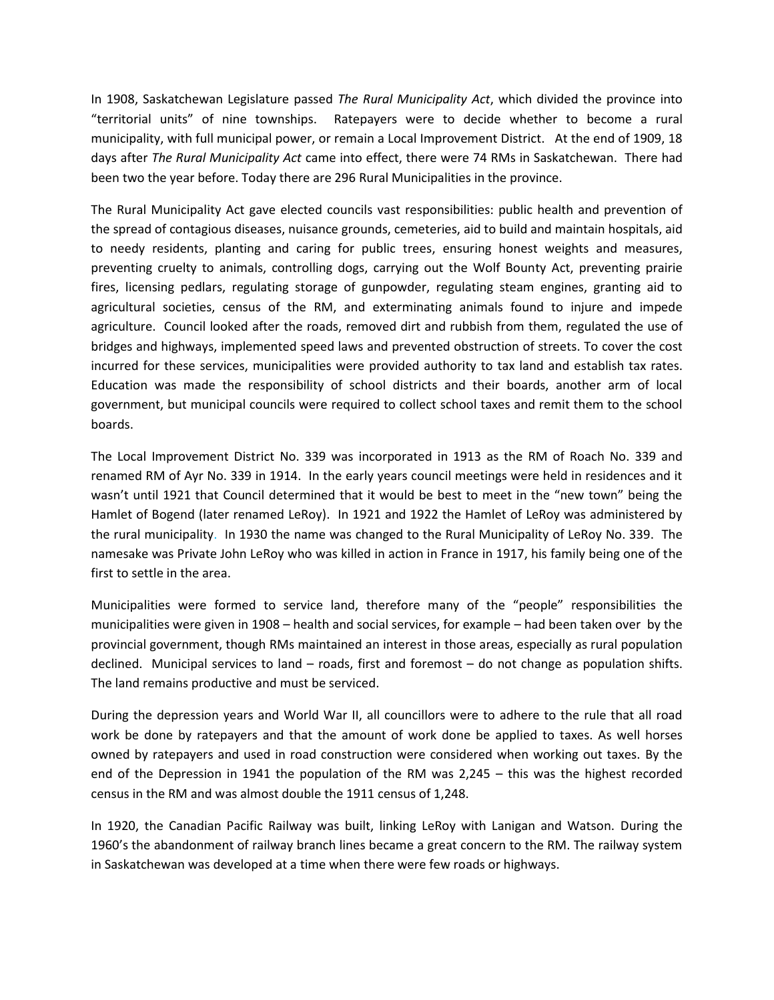In 1908, Saskatchewan Legislature passed *The Rural Municipality Act*, which divided the province into "territorial units" of nine townships. Ratepayers were to decide whether to become a rural municipality, with full municipal power, or remain a Local Improvement District. At the end of 1909, 18 days after *The Rural Municipality Act* came into effect, there were 74 RMs in Saskatchewan. There had been two the year before. Today there are 296 Rural Municipalities in the province.

The Rural Municipality Act gave elected councils vast responsibilities: public health and prevention of the spread of contagious diseases, nuisance grounds, cemeteries, aid to build and maintain hospitals, aid to needy residents, planting and caring for public trees, ensuring honest weights and measures, preventing cruelty to animals, controlling dogs, carrying out the Wolf Bounty Act, preventing prairie fires, licensing pedlars, regulating storage of gunpowder, regulating steam engines, granting aid to agricultural societies, census of the RM, and exterminating animals found to injure and impede agriculture. Council looked after the roads, removed dirt and rubbish from them, regulated the use of bridges and highways, implemented speed laws and prevented obstruction of streets. To cover the cost incurred for these services, municipalities were provided authority to tax land and establish tax rates. Education was made the responsibility of school districts and their boards, another arm of local government, but municipal councils were required to collect school taxes and remit them to the school boards.

The Local Improvement District No. 339 was incorporated in 1913 as the RM of Roach No. 339 and renamed RM of Ayr No. 339 in 1914. In the early years council meetings were held in residences and it wasn't until 1921 that Council determined that it would be best to meet in the "new town" being the Hamlet of Bogend (later renamed LeRoy). In 1921 and 1922 the Hamlet of LeRoy was administered by the rural municipality. In 1930 the name was changed to the Rural Municipality of LeRoy No. 339. The namesake was Private John LeRoy who was killed in action in France in 1917, his family being one of the first to settle in the area.

Municipalities were formed to service land, therefore many of the "people" responsibilities the municipalities were given in 1908 – health and social services, for example – had been taken over by the provincial government, though RMs maintained an interest in those areas, especially as rural population declined. Municipal services to land – roads, first and foremost – do not change as population shifts. The land remains productive and must be serviced.

During the depression years and World War II, all councillors were to adhere to the rule that all road work be done by ratepayers and that the amount of work done be applied to taxes. As well horses owned by ratepayers and used in road construction were considered when working out taxes. By the end of the Depression in 1941 the population of the RM was 2,245 – this was the highest recorded census in the RM and was almost double the 1911 census of 1,248.

In 1920, the Canadian Pacific Railway was built, linking LeRoy with Lanigan and Watson. During the 1960's the abandonment of railway branch lines became a great concern to the RM. The railway system in Saskatchewan was developed at a time when there were few roads or highways.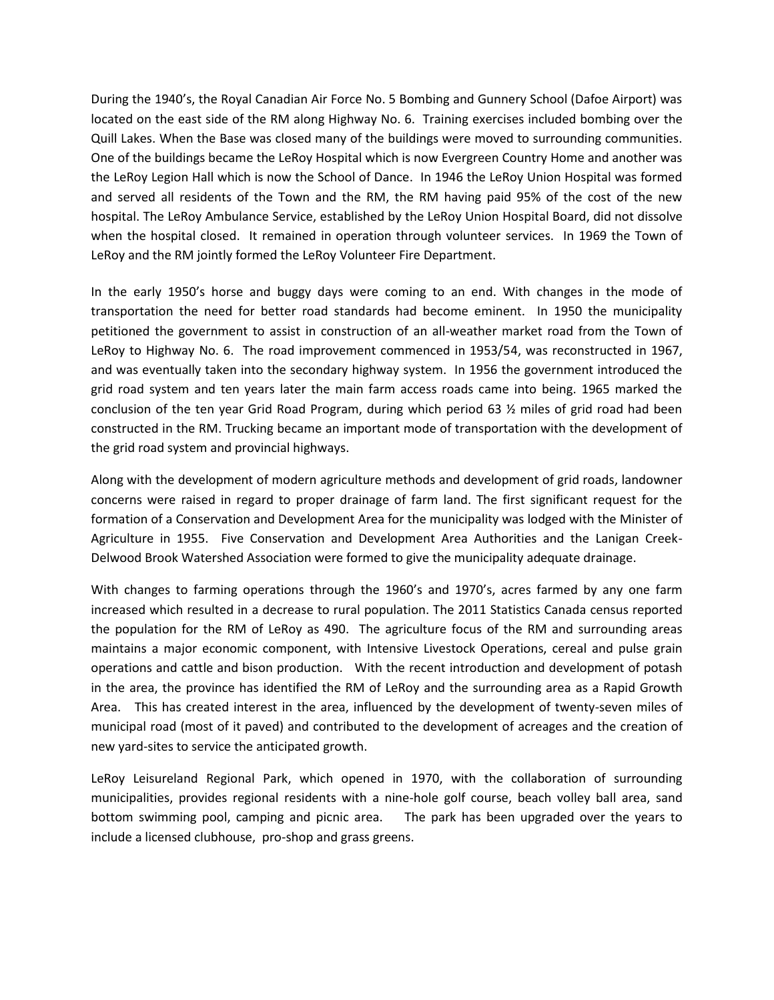During the 1940's, the Royal Canadian Air Force No. 5 Bombing and Gunnery School (Dafoe Airport) was located on the east side of the RM along Highway No. 6. Training exercises included bombing over the Quill Lakes. When the Base was closed many of the buildings were moved to surrounding communities. One of the buildings became the LeRoy Hospital which is now Evergreen Country Home and another was the LeRoy Legion Hall which is now the School of Dance. In 1946 the LeRoy Union Hospital was formed and served all residents of the Town and the RM, the RM having paid 95% of the cost of the new hospital. The LeRoy Ambulance Service, established by the LeRoy Union Hospital Board, did not dissolve when the hospital closed. It remained in operation through volunteer services. In 1969 the Town of LeRoy and the RM jointly formed the LeRoy Volunteer Fire Department.

In the early 1950's horse and buggy days were coming to an end. With changes in the mode of transportation the need for better road standards had become eminent. In 1950 the municipality petitioned the government to assist in construction of an all-weather market road from the Town of LeRoy to Highway No. 6. The road improvement commenced in 1953/54, was reconstructed in 1967, and was eventually taken into the secondary highway system. In 1956 the government introduced the grid road system and ten years later the main farm access roads came into being. 1965 marked the conclusion of the ten year Grid Road Program, during which period 63  $\frac{1}{2}$  miles of grid road had been constructed in the RM. Trucking became an important mode of transportation with the development of the grid road system and provincial highways.

Along with the development of modern agriculture methods and development of grid roads, landowner concerns were raised in regard to proper drainage of farm land. The first significant request for the formation of a Conservation and Development Area for the municipality was lodged with the Minister of Agriculture in 1955. Five Conservation and Development Area Authorities and the Lanigan Creek-Delwood Brook Watershed Association were formed to give the municipality adequate drainage.

With changes to farming operations through the 1960's and 1970's, acres farmed by any one farm increased which resulted in a decrease to rural population. The 2011 Statistics Canada census reported the population for the RM of LeRoy as 490. The agriculture focus of the RM and surrounding areas maintains a major economic component, with Intensive Livestock Operations, cereal and pulse grain operations and cattle and bison production. With the recent introduction and development of potash in the area, the province has identified the RM of LeRoy and the surrounding area as a Rapid Growth Area. This has created interest in the area, influenced by the development of twenty-seven miles of municipal road (most of it paved) and contributed to the development of acreages and the creation of new yard-sites to service the anticipated growth.

LeRoy Leisureland Regional Park, which opened in 1970, with the collaboration of surrounding municipalities, provides regional residents with a nine-hole golf course, beach volley ball area, sand bottom swimming pool, camping and picnic area. The park has been upgraded over the years to include a licensed clubhouse, pro-shop and grass greens.